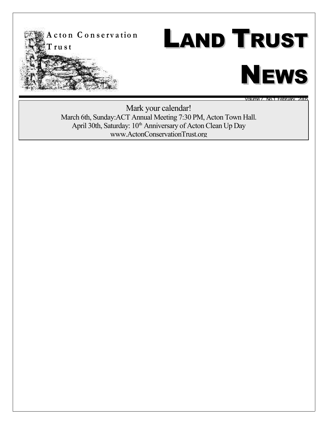

Mark your calendar! March 6th, Sunday:ACT Annual Meeting 7:30 PM, Acton Town Hall. April 30th, Saturday: 10<sup>th</sup> Anniversary of Acton Clean Up Day www.ActonConservationTrust.org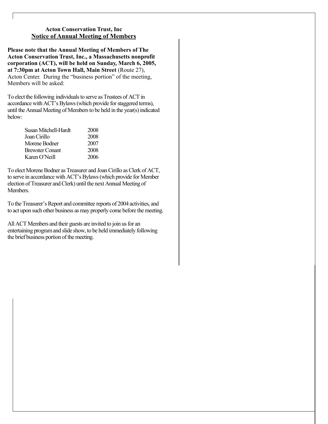## **Acton Conservation Trust, Inc Speaker: Michael Tougias Notice of Annual Meeting of Members**

Please note that the Annual Meeting of Members of The Acton Conservation Trust, Inc., a Massachusetts nonprofit corporation (ACT), will be held on Sunday, March 6, 2005, at 7:30pm at Acton Town Hall, Main Street (Route 27), Acton Center. During the "business portion" of the meeting, Members will be asked:

To elect the following individuals to serve as Trustees of ACT in accordance with ACT's Bylaws (which provide for staggered terms), until the Annual Meeting of Members to be held in the year(s) indicated below:

| Susan Mitchell-Hardt   | 2008 |
|------------------------|------|
| Joan Cirillo           | 2008 |
| Morene Bodner          | 2007 |
| <b>Brewster Conant</b> | 2008 |
| Karen O'Neill          | 2006 |

To elect Morene Bodner as Treasurer and Joan Cirillo as Clerk of ACT, to serve in accordance with ACT's Bylaws (which provide for Member election of Treasurer and Clerk) until the next Annual Meeting of Members.

To the Treasurer's Report and committee reports of 2004 activities, and to act upon such other business as may properly come before the meeting.

All ACT Members and their guests are invited to join us for an entertaining programand slide show, to be held immediately following the brief business portion of the meeting.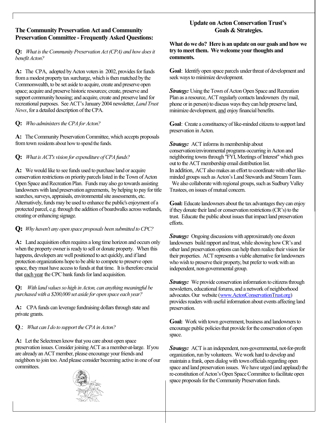## **The Community Preservation Act and Community Preservation Committee - Frequently Asked Questions:**

#### **Q:** *What is the Community Preservation Act (CPA) and how does it* benefit Acton?

A: The CPA, adopted by Acton voters in 2002, provides for funds from a modest property tax surcharge, which is then matched by the Commonwealth, to be set aside to acquire, create and preserve open space; acquire and preserve historic resources; create, preserve and support community housing; and acquire, create and preserve land for recreational purposes. See ACT'sJanuary 2004 newsletter, *Land Trust* News, for a detailed description of the CPA.

## **Q:** *Who administers the CPA for Acton?*

A: The Community Preservation Committee, which accepts proposals from town residents about how to spend the funds.

**Q:** *Whatis ACT's vision for expenditure ofCPA funds?*

**A:** We would like to see funds used to purchase land or acquire conservation restrictions on priority parcels listed in the Town of Acton Open Space and Recreation Plan. Funds may also go towards assisting landowners with land preservation agreements, by helping to pay for title searches, surveys, appraisals, environmental site assessments, etc. Alternatively, funds may be used to enhance the public's enjoyment of a protected parcel, e.g. through the addition of boardwalks across wetlands, creating or enhancing signage.

**Q:** *Why haven't any open space proposals been submitted toCPC?*

**A:** Land acquisition often requires a long time horizon and occurs only when the property owner is ready to sell or donate property. When this happens, developers are well positioned to act quickly, and if land protection organizations hope to be able to compete to preserve open space, they must have access to funds at that time. It is therefore crucial that each year the CPC bank funds for land acquisition.

**Q:** *With land values so high in Acton, can anything meaningful be purchasedwith a \$200,000 set aside for open space each year?*

A: CPA funds can leverage fundraising dollars through state and private grants.

## **Q**.: *What can I do to support the CPA in Acton?*

A: Let the Selectmen know that you care about open space preservation issues. Consider joining ACT as a member-at-large. If you are already an ACT member, please encourage your friends and neighborsto join too. And please consider becoming active in one of our committees.



# **Update on Acton Conservation Trust's Goals & Strategies.**

#### **What do we do? Here is an update on our goals and how we try to meetthem. We welcome your thoughts and comments.**

Goal: Identify open space parcels under threat of development and seek ways to minimize development.

*Strategy:* Using the Town of Acton Open Space and Recreation Plan as a resource, ACT regularly contacts landowners (by mail, phone or in person) to discuss ways they can help preserve land, minimize development, and enjoy financial benefits.

Goal: Create a constituency of like-minded citizens to support land preservation in Acton.

*Strategy:* ACT informs its membership about conservation/environmental programs occurring in Acton and neighboring towns through "FYI, Meetings of Interest" which goes out to the ACT membership email distribution list. In addition, ACT also makes an effort to coordinate with other likeminded groups such as Acton's Land Stewards and Stream Team. We also collaborate with regional groups, such as Sudbury Valley Trustees, on issues of mutual concern.

**Goal:** Educate landowners about the tax advantages they can enjoy if they donate their land or conservation restrictions (CR's) to the trust. Educate the public about issues that impact land preservation efforts.

*Strategy:* Ongoing discussions with approximately one dozen landowners build rapport and trust, while showing howCR's and other land preservation options can help them realize their vision for their properties. ACT represents a viable alternative for landowners who wish to preserve their property, but prefer to work with an independent, non-governmental group.

*Strategy:* We provide conservation information to citizens through newsletters, educational forums, and a network of neighborhood advocates. Our website (www.ActonConservationTrust.org) provides readers with useful information about events affecting land preservation.

**Goal:** Work with town government, business and landowners to encourage public policiesthat provide forthe conservation of open space.

*Strategy:* ACT is an independent, non-governmental, not-for-profit organization, run by volunteers. We work hard to develop and maintain a frank, open dialog with town officialsregarding open space and land preservation issues. We have urged (and applaud) the re-constitution of Acton's Open Space Committee to facilitate open space proposals for the Community Preservation funds.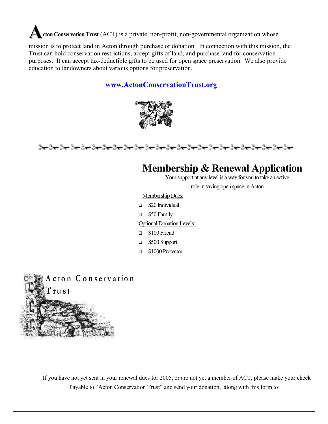**cton Conservation Trust** (ACT) is a private, non-profit, non-governmental organization whose

mission is to protect land in Acton through purchase or donation. In connection with this mission, the Trust can hold conservation restrictions, accept gifts of land, and purchase land for conservation purposes. It can accept tax-deductible gifts to be used for open space preservation. We also provide education to landowners about various options for preservation.

# **www.ActonConservationTrust.org**



# 

# **Membership & Renewal Application**

Your support at any level is a way for you to take an active

role in saving open space in Acton.

Membership Dues:

- $\Box$  \$20 Individual
- $\Box$  \$50 Family

Optional Donation Levels:

- □ \$100 Friend
- □ \$500 Support
- □ \$1000 Protector



If you have not yet sent in your renewal dues for 2005, or are not yet a member of ACT, please make your check Payable to "Acton Conservation Trust" and send your donation, along with this form to: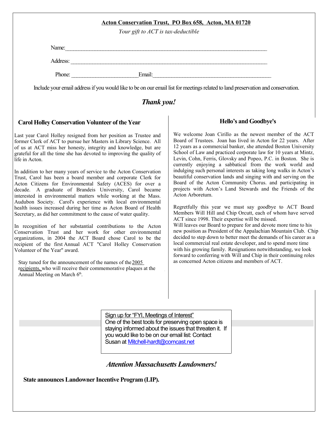#### **Acton Conservation Trust, PO Box 658, Acton, MA 01720**

*Your gift to ACT is tax-deductible*

| Name:    |        |  |
|----------|--------|--|
| Address: |        |  |
| Phone:   | Email: |  |

Include your email address if you would like to be on our email list for meetings related to land preservation and conservation.

## *Thank you!*

#### **Carol Holley Conservation Volunteer of the Year**

Last year Carol Holley resigned from her position as Trustee and former Clerk of ACT to pursue her Masters in Library Science. All of us at ACT miss her honesty, integrity and knowledge, but are grateful for all the time she has devoted to improving the quality of life in Acton.

In addition to her many years of service to the Acton Conservation Trust, Carol has been a board member and corporate Clerk for Acton Citizens for Environmental Safety (ACES) for over a decade. A graduate of Brandeis University, Carol became interested in environmental matters while working at the Mass. Audubon Society. Carol's experience with local environmental health issues increased during her time as Acton Board of Health Secretary, as did her commitment to the cause of water quality.

**A**<br> **A** Volunteer of the Year'' award.<br>
Stay tuned for the announce In recognition of her substantial contributions to the Acton Conservation Trust and her work for other environmental organizations, in 2004 the ACT Board chose Carol to be the recipient of the first Annual ACT "Carol Holley Conservation

**recipients**, who will receive their commemorative plaques at the Stay tuned for the announcement of the names of the 2005 Annual Meeting on March 6<sup>th</sup>.

#### **Hello's and Goodbye's**

We welcome Joan Cirillo as the newest member of the ACT Board of Trustees. Joan has lived in Acton for 22 years. After 12 years as a commercial banker, she attended Boston University School of Law and practiced corporate law for 10 years at Mintz, Levin, Cohn, Ferris, Glovsky and Popeo, P.C. in Boston. She is currently enjoying a sabbatical from the work world and indulging such personal interests as taking long walks in Acton's beautiful conservation lands and singing with and serving on the Board of the Acton Community Chorus. and participating in projects with Acton's Land Stewards and the Friends of the Acton Arboretum.

Regretfully this year we must say goodbye to ACT Board Members Will Hill and Chip Orcutt, each of whom have served ACT since 1998. Their expertise will be missed. Will leaves our Board to prepare for and devote more time to his new position as President of the Appalachian Mountain Club. Chip decided to step down to better meet the demands of his career as a local commercial real estate developer, and to spend more time with his growing family. Resignations notwithstanding, we look forward to conferring with Will and Chip in their continuing roles as concerned Acton citizens and members of ACT.

Sign up for "FYI, Meetings of Interest" One of the best tools for preserving open space is staying informed about the issues that threaten it. If you would like to be on our email list: Contact Susan at Mitchell-hardt@comcast.net

*Attention Massachusetts Landowners!*

**State announces Landowner Incentive Program (LIP).**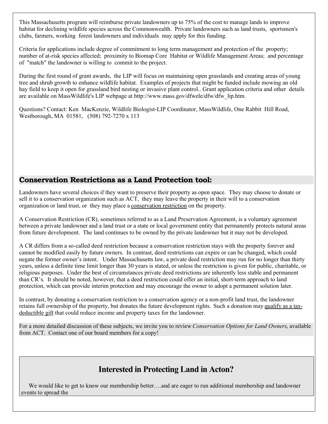This Massachusetts program will reimburse private landowners up to 75% of the cost to manage lands to improve habitat for declining wildlife species across the Commonwealth. Private landowners such as land trusts, sportsmen's clubs, farmers, working forest landowners and individuals may apply for this funding.

Criteria for applications include degree of commitment to long term management and protection of the property; number of at-risk species affected; proximity to Biomap Core Habitat or Wildlife Management Areas; and percentage of "match" the landowner is willing to commit to the project.

During the first round of grant awards, the LIP will focus on maintaining open grasslands and creating areas of young tree and shrub growth to enhance wildlife habitat. Examples of projects that might be funded include mowing an old hay field to keep it open for grassland bird nesting or invasive plant control.. Grant application criteria and other details are available on MassWildlife's LIP webpage at http://www.mass.gov/dfwele/dfw/dfw\_lip.htm.

Questions? Contact: Ken MacKenzie, Wildlife Biologist-LIP Coordinator, MassWildlife, One Rabbit Hill Road, Westborough, MA 01581, (508) 792-7270 x 113

# **Conservation Restrictions as a Land Protection tool:**

Landowners have several choices if they want to preserve their property as open space. They may choose to donate or sell it to a conservation organization such as ACT, they may leave the property in their will to a conservation organization or land trust, or they may place a conservation restriction on the property.

A Conservation Restriction (CR), sometimes referred to as a Land Preservation Agreement, is a voluntary agreement between a private landowner and a land trust or a state or local government entity that permanently protects natural areas from future development. The land continues to be owned by the private landowner but it may not be developed.

A CR differs from a so-called deed restriction because a conservation restriction stays with the property forever and cannot be modified easily by future owners. In contrast, deed restrictions can expire or can be changed, which could negate the former owner's intent. Under Massachusetts law, a private deed restriction may run for no longer than thirty years, unless a definite time limit longer than 30 years is stated, or unless the restriction is given for public, charitable, or religious purposes. Under the best of circumstances private deed restrictions are inherently less stable and permanent than CR's. It should be noted, however, that a deed restriction could offer an initial, short-term approach to land protection, which can provide interim protection and may encourage the owner to adopt a permanent solution later.

In contrast, by donating a conservation restriction to a conservation agency or a non-profit land trust, the landowner retains full ownership of the property, but donates the future development rights. Such a donation may qualify as a taxdeductible gift that could reduce income and property taxes for the landowner.

For a more detailed discussion of these subjects, we invite you to review *Conservation Options for Land Owners*, available from ACT. Contact one of our board members for a copy!

# **Interested in Protecting Land in Acton?**

 We would like to get to know our membership better….and are eager to run additional membership and landowner events to spread the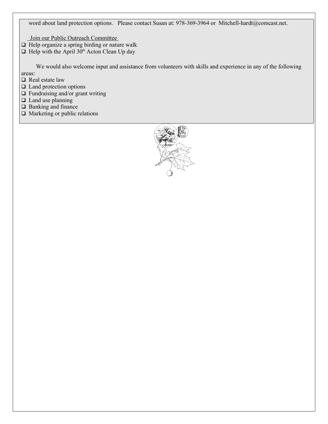word about land protection options. Please contact Susan at: 978-369-3964 or Mitchell-hardt@comcast.net.

Join our Public Outreach Committee

- $\Box$  Help organize a spring birding or nature walk
- $\Box$  Help with the April 30<sup>th</sup> Acton Clean Up day

 We would also welcome input and assistance from volunteers with skills and experience in any of the following areas:

- $\Box$  Real estate law
- $\Box$  Land protection options
- $\Box$  Fundraising and/or grant writing
- $\Box$  Land use planning
- □ Banking and finance
- $\Box$  Marketing or public relations

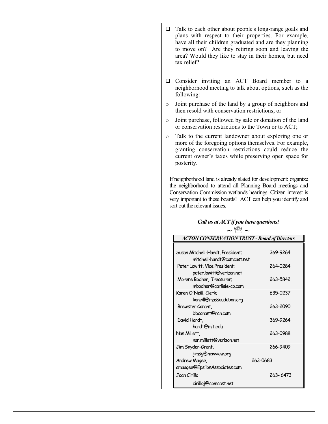- □ Talk to each other about people's long-range goals and plans with respect to their properties. For example, have all their children graduated and are they planning to move on? Are they retiring soon and leaving the area? Would they like to stay in their homes, but need tax relief?
- □ Consider inviting an ACT Board member to a neighborhood meeting to talk about options, such as the following:
- o Joint purchase of the land by a group of neighbors and then resold with conservation restrictions; or
- o Joint purchase, followed by sale or donation of the land or conservation restrictions to the Town or to ACT;
- o Talk to the current landowner about exploring one or more of the foregoing options themselves. For example, granting conservation restrictions could reduce the current owner's taxes while preserving open space for posterity.

If neighborhood land is already slated for development: organize the neighborhood to attend all Planning Board meetings and Conservation Commission wetlands hearings. Citizen interest is very important to these boards! ACT can help you identify and sort out the relevant issues.

| Call us at ACT if you have questions! |
|---------------------------------------|
| $\sim$ MP $\sim$                      |

*ACTON CONSERVATION TRUST-Board of Directors*

| ACTUN CUNSERVATIUN TRUST - Board of Directors        |          |  |
|------------------------------------------------------|----------|--|
|                                                      |          |  |
| Susan Mitchell-Hardt, President;                     | 369-9264 |  |
| mitchell-hardt@comcast.net                           |          |  |
| Peter Lowitt, Vice President;                        | 264-0284 |  |
| peter.lowitt@verizon.net                             |          |  |
| Morene Bodner, Treasurer;<br>mbodner@carlisle-co.com | 263-5842 |  |
| Karen O'Neill, Clerk;                                | 635-0237 |  |
| koneill@massaudubon.org                              |          |  |
| Brewster Conant,                                     | 263-2090 |  |
| bbconant@rcn.com                                     |          |  |
| David Hardt,                                         | 369-9264 |  |
| hardt@mit.edu                                        |          |  |
| Nan Millett,                                         | 263-0988 |  |
| nan.millett@verizon.net                              |          |  |
| Jim Snyder-Grant,                                    | 266-9409 |  |
| jimsg@newview.org                                    |          |  |
| Andrew Magee,                                        | 263-0683 |  |
| amaagee@EpsilonAssociates.com                        |          |  |
| Joan Cirillo                                         | 263-6473 |  |
| cirilloj@comcast.net                                 |          |  |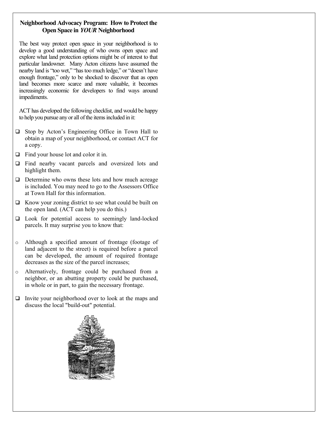## **Neighborhood Advocacy Program: How to Protect the Open Space in** *YOUR* **Neighborhood**

The best way protect open space in your neighborhood is to develop a good understanding of who owns open space and explore what land protection options might be of interest to that particular landowner. Many Acton citizens have assumed the nearby land is "too wet," "hastoo much ledge," or "doesn't have enough frontage," only to be shocked to discover that as open land becomes more scarce and more valuable, it becomes increasingly economic for developers to find ways around impediments.

ACT has developed the following checklist, and would be happy to help you pursue any or all of the items included in it:

- $\Box$  Stop by Acton's Engineering Office in Town Hall to obtain a map of your neighborhood, or contact ACT for a copy.
- $\Box$  Find your house lot and color it in.
- $\Box$  Find nearby vacant parcels and oversized lots and highlight them.
- $\Box$  Determine who owns these lots and how much acreage is included. You may need to go to the Assessors Office at Town Hall for this information.
- $\Box$  Know your zoning district to see what could be built on the open land. (ACT can help you do this.)
- $\Box$  Look for potential access to seemingly land-locked parcels. It may surprise you to know that:
- o Although a specified amount of frontage (footage of land adjacent to the street) is required before a parcel can be developed, the amount of required frontage decreases as the size of the parcel increases;
- o Alternatively, frontage could be purchased from a neighbor, or an abutting property could be purchased, in whole or in part, to gain the necessary frontage.
- $\Box$  Invite your neighborhood over to look at the maps and discuss the local "build-out" potential.

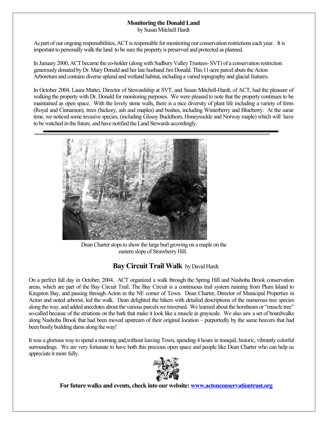## **Monitoring the Donald Land**

by Susan Mitchell Hardt

As part of our ongoing responsibilities, ACT is responsible for monitoring our conservation restrictions each year. It is important to personally walk the land to be sure the property is preserved and protected as planned.

In January 2000, ACT became the co-holder (along with Sudbury Valley Trustees-SVT) of a conservation restriction generously donated by Dr. Mary Donald and her late husband Jim Donald. This 11-acre parcel abuts the Acton Arboretum and contains diverse upland and wetland habitat, including a varied topography and glacial features.

In October 2004, Laura Mattei, Director of Stewardship at SVT, and Susan Mitchell-Hardt, of ACT, had the pleasure of walking the property with Dr. Donald for monitoring purposes. We were pleased to note that the property continues to be maintained as open space. With the lovely stone walls, there is a nice diversity of plant life including a variety of ferns (Royal and Cinnamon), trees (hickory, ash and maples) and bushes, including Winterberry and Blueberry. At the same time, we noticed some invasive species, (including Glossy Buckthorn, Honeysuckle and Norway maple) which will have to be watched in the future, and have notified theLand Stewards accordingly.



Dean Charter stops to show the large burl growing on a maple on the eastern slope of Strawberry Hill.

# **Bay Circuit Trail Walk** by David Hardt.

On a perfect fall day in October, 2004, ACT organized a walk through the Spring Hill and Nashoba Brook conservation areas, which are part of the Bay Circuit Trail. The Bay Circuit is a continuous trail system running from Plum Island to Kingston Bay, and passing through Acton in the NE corner of Town. Dean Charter, Director of Municipal Properties in Acton and noted arborist, led the walk. Dean delighted the hikers with detailed descriptions of the numerous tree species along the way, and added anecdotes about the various parcels we traversed. We learned about the hornbeamor "muscle tree" so-called because of the striations on the bark that make it look like a muscle in grayscale. We also saw a set of boardwalks along Nashoba Brook that had been moved upstream of their original location – purportedly by the same beavers that had been busily building dams along the way!

It was a glorious way to spend a morning and, without leaving Town, spending 4 hours in tranquil, historic, vibrantly colorful surroundings. We are very fortunate to have both this precious open space and people like Dean Charter who can help us appreciate it more fully.



**For future walks and events, check into our website: www.actonconservationtrust.org**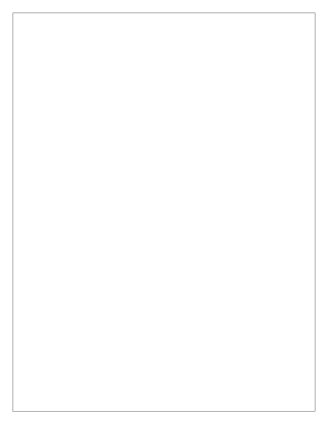